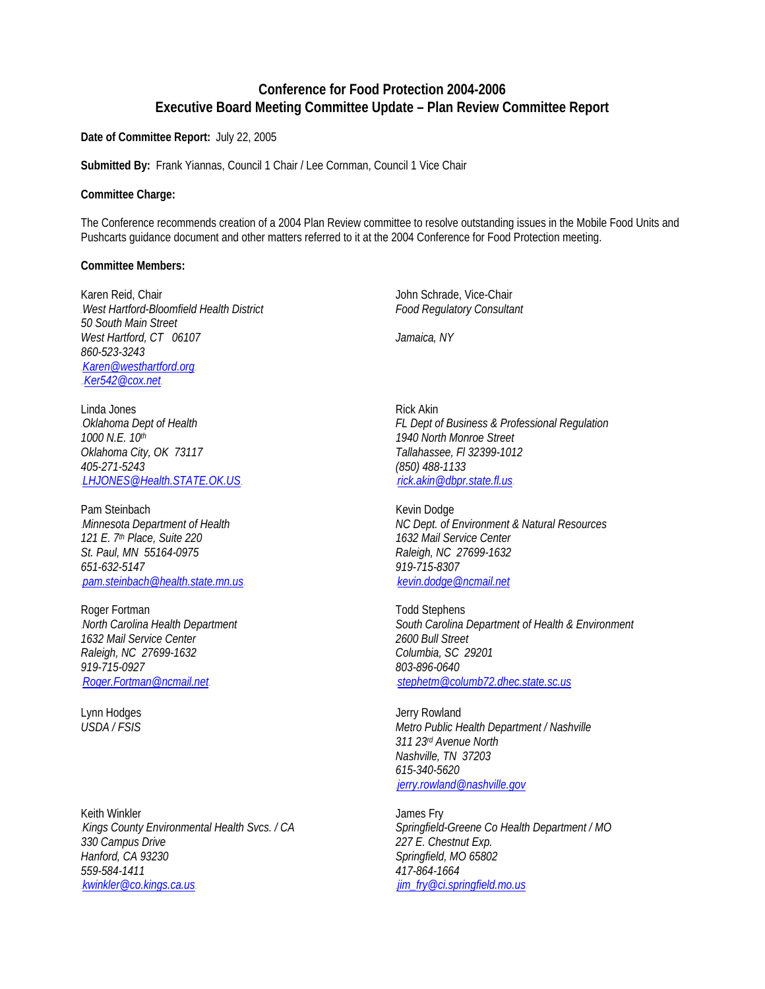# **Conference for Food Protection 2004-2006 Executive Board Meeting Committee Update – Plan Review Committee Report**

**Date of Committee Report:** July 22, 2005

**Submitted By:** Frank Yiannas, Council 1 Chair / Lee Cornman, Council 1 Vice Chair

#### **Committee Charge:**

The Conference recommends creation of a 2004 Plan Review committee to resolve outstanding issues in the Mobile Food Units and Pushcarts guidance document and other matters referred to it at the 2004 Conference for Food Protection meeting.

#### **Committee Members:**

Karen Reid, Chair<br>Mest Hartford-Bloomfield Health District Summan Schrade, Vice-Chair John Schrade, Vice-Chair June 1, 1999. 0B*West Hartford-Bloomfield Health District Food Regulatory Consultant 50 South Main Street West Hartford, CT 06107 Jamaica, NY 860-523-3243*   $K$ aren@westhartford.org Ker542@cox.net

Linda Jones **Rick Akin** *1000 N.E. 10th 1940 North Monroe Street Oklahoma City, OK 73117 Tallahassee, Fl 32399-1012 405-271-5243 (850) 488-1133*  HU*LHJONES@Health.STATE.OK.US*UHHU*rick.akin@dbpr.state.fl.us*UH

Pam Steinbach<br>
Minnesota Department of Health<br>
MC Dept. of L *121 E. 7th Place, Suite 220 1632 Mail Service Center St. Paul, MN 55164-0975 Raleigh, NC 27699-1632 651-632-5147 919-715-8307*  HU*pam.steinbach@health.state.mn.us*UHHU*kevin.dodge@ncmail.net*<sup>U</sup>

Roger Fortman Todd Stephens *1632 Mail Service Center 2600 Bull Street Raleigh, NC 27699-1632 Columbia, SC 29201 919-715-0927 803-896-0640* 

Keith Winkler **Guide Communist Communist Communist Communist Communist Communist Communist Communist Communist Communist Communist Communist Communist Communist Communist Communist Communist Communist Communist Communist C** *330 Campus Drive 227 E. Chestnut Exp. Hanford, CA 93230 Springfield, MO 65802 559-584-1411 417-864-1664*  HU*kwinkler@co.kings.ca.us*UHHU*jim\_fry@ci.springfield.mo.us*U

2B*Oklahoma Dept of Health FL Dept of Business & Professional Regulation* 

3B*Minnesota Department of Health NC Dept. of Environment & Natural Resources* 

4B*North Carolina Health Department South Carolina Department of Health & Environment*  HU*Roger.Fortman@ncmail.net*UHHU*stephetm@columb72.dhec.state.sc.us*<sup>U</sup>

Lynn Hodges **Jerry Rowland** *USDA / FSIS Metro Public Health Department / Nashville 311 23rd Avenue North Nashville, TN 37203 615-340-5620*  .jerry.rowland@nashville.gov.

5B*Kings County Environmental Health Svcs. / CA Springfield-Greene Co Health Department / MO*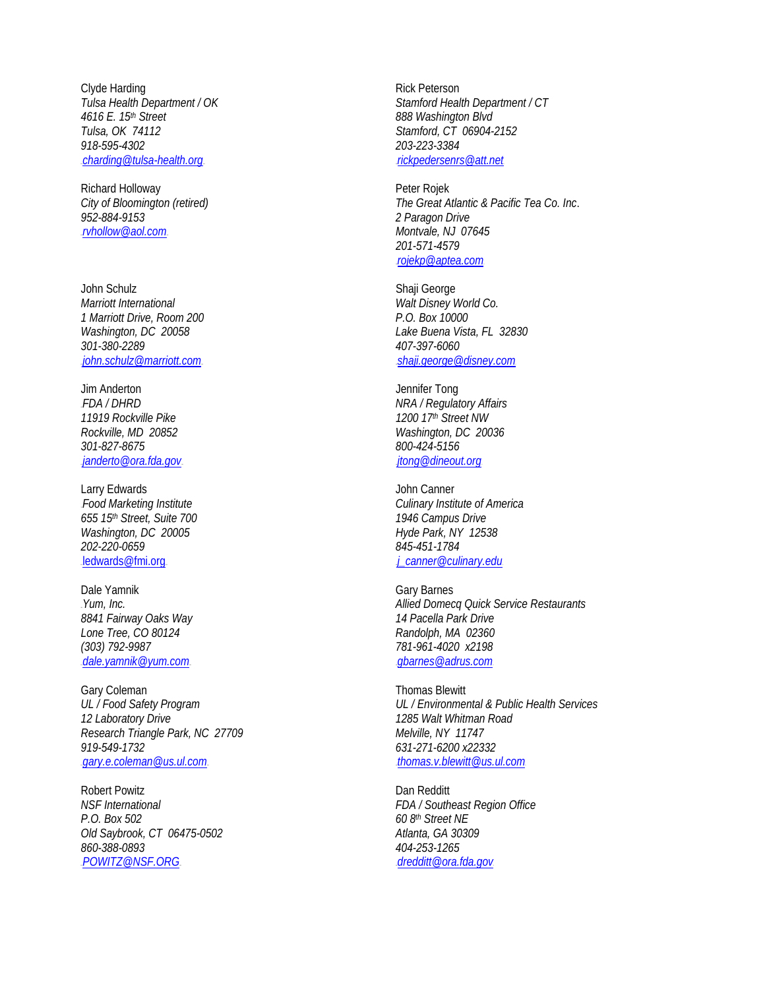Clyde Harding **Rick Peterson** *Tulsa, OK 74112 Stamford, CT 06904-2152 918-595-4302 203-223-3384*   $L$ charding@tulsa-health.org.

Richard Holloway **Peter Rojek** Peter Rojek *952-884-9153 2 Paragon Drive*  HU*rvhollow@aol.com*UH *Montvale, NJ 07645* 

John Schulz<br>
Marriott International<br>
Marriott International *1 Marriott Drive, Room 200 P.O. Box 10000 301-380-2289 407-397-6060*  HU*john.schulz@marriott.com*UHHU*shaji.george@disney.com*<sup>U</sup>

Jim Anderton Jennifer Tong *11919 Rockville Pike 1200 17th Street NW 301-827-8675 800-424-5156*  HU*janderto@ora.fda.gov*UHHU*jtong@dineout.org*<sup>U</sup>

Larry Edwards **Canner** John Canner *655 15th Street, Suite 700 1946 Campus Drive Washington, DC 20005* 1999 12:538 *202-220-0659 845-451-1784*  edwards@fmi.org.html

Dale Yamnik Gary Barnes *8841 Fairway Oaks Way 14 Pacella Park Drive Lone Tree, CO 80124 Randolph, MA 02360 (303) 792-9987 781-961-4020 x2198*  HU*dale.yamnik@yum.com*UHHU*gbarnes@adrus.com*<sup>U</sup>

Gary Coleman Communication Contract Communication Contract Communication Contract Communication Communication Communication Communication Communication Communication Communication Communication Communication Communication *12 Laboratory Drive 1285 Walt Whitman Road Research Triangle Park, NC 27709 Melville, NY 11747 919-549-1732 631-271-6200 x22332*  HU*gary.e.coleman@us.ul.com*UHHU*thomas.v.blewitt@us.ul.com*<sup>U</sup>

Robert Powitz **Dan Redditt** *NSF International FDA / Southeast Region Office P.O. Box 502 60 8th Street NE Old Saybrook, CT 06475-0502 Atlanta, GA 30309 860-388-0893 404-253-1265*  HU*POWITZ@NSF.ORG*UHHU*dredditt@ora.fda.gov*U

*Tulsa Health Department / OK Stamford Health Department / CT 4616 E. 15th Street 888 Washington Blvd* 

*City of Bloomington (retired) The Great Atlantic & Pacific Tea Co. Inc*. *201-571-4579*  HU*rojekp@aptea.com*<sup>U</sup>

**Walt Disney World Co.** *Washington, DC 20058 Lake Buena Vista, FL 32830* 

6B*FDA / DHRD NRA / Regulatory Affairs Rockville, MD 20852 Washington, DC 20036* 

7B*Food Marketing Institute Culinary Institute of America* 

8B*Yum, Inc. Allied Domecq Quick Service Restaurants* 

*UL / Food Safety Program UL / Environmental & Public Health Services*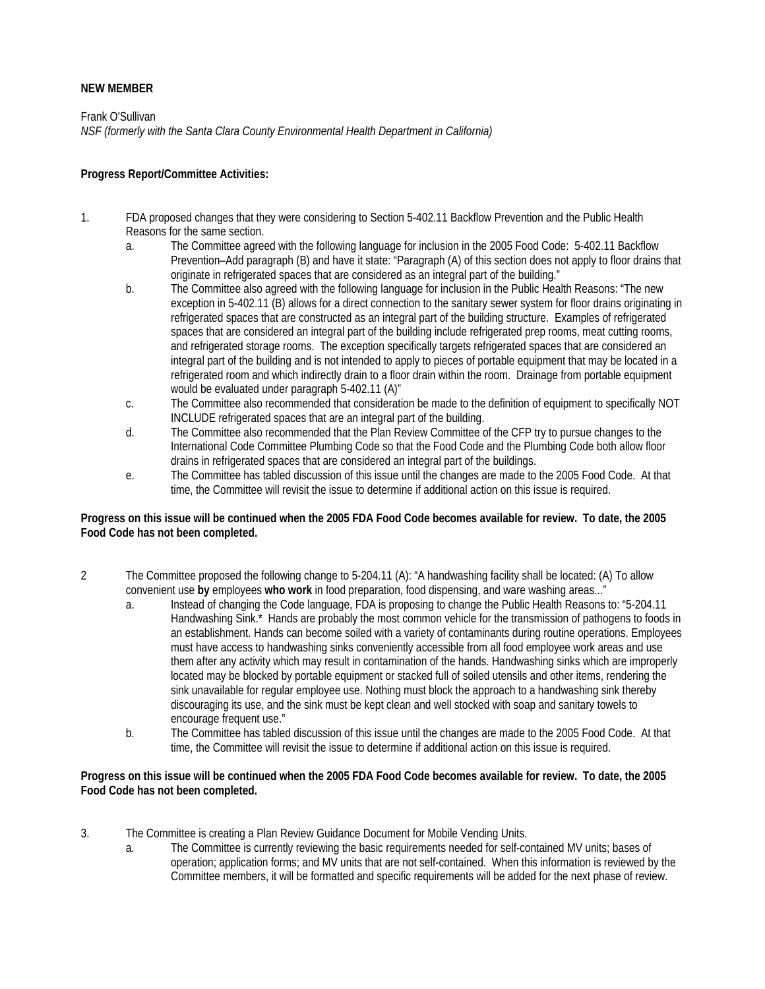# **NEW MEMBER**

Frank O'Sullivan *NSF (formerly with the Santa Clara County Environmental Health Department in California)* 

## **Progress Report/Committee Activities:**

- 1. FDA proposed changes that they were considering to Section 5-402.11 Backflow Prevention and the Public Health Reasons for the same section.
	- a. The Committee agreed with the following language for inclusion in the 2005 Food Code: 5-402.11 Backflow Prevention–Add paragraph (B) and have it state: "Paragraph (A) of this section does not apply to floor drains that originate in refrigerated spaces that are considered as an integral part of the building."
	- b. The Committee also agreed with the following language for inclusion in the Public Health Reasons: "The new exception in 5-402.11 (B) allows for a direct connection to the sanitary sewer system for floor drains originating in refrigerated spaces that are constructed as an integral part of the building structure. Examples of refrigerated spaces that are considered an integral part of the building include refrigerated prep rooms, meat cutting rooms, and refrigerated storage rooms. The exception specifically targets refrigerated spaces that are considered an integral part of the building and is not intended to apply to pieces of portable equipment that may be located in a refrigerated room and which indirectly drain to a floor drain within the room. Drainage from portable equipment would be evaluated under paragraph 5-402.11 (A)"
	- c. The Committee also recommended that consideration be made to the definition of equipment to specifically NOT INCLUDE refrigerated spaces that are an integral part of the building.
	- d. The Committee also recommended that the Plan Review Committee of the CFP try to pursue changes to the International Code Committee Plumbing Code so that the Food Code and the Plumbing Code both allow floor drains in refrigerated spaces that are considered an integral part of the buildings.
	- e. The Committee has tabled discussion of this issue until the changes are made to the 2005 Food Code. At that time, the Committee will revisit the issue to determine if additional action on this issue is required.

### **Progress on this issue will be continued when the 2005 FDA Food Code becomes available for review. To date, the 2005 Food Code has not been completed.**

- 2 The Committee proposed the following change to 5-204.11 (A): "A handwashing facility shall be located: (A) To allow convenient use **by** employees **who work** in food preparation, food dispensing, and ware washing areas..."
	- a. Instead of changing the Code language, FDA is proposing to change the Public Health Reasons to: "5-204.11 Handwashing Sink.\* Hands are probably the most common vehicle for the transmission of pathogens to foods in an establishment. Hands can become soiled with a variety of contaminants during routine operations. Employees must have access to handwashing sinks conveniently accessible from all food employee work areas and use them after any activity which may result in contamination of the hands. Handwashing sinks which are improperly located may be blocked by portable equipment or stacked full of soiled utensils and other items, rendering the sink unavailable for regular employee use. Nothing must block the approach to a handwashing sink thereby discouraging its use, and the sink must be kept clean and well stocked with soap and sanitary towels to encourage frequent use."
	- b. The Committee has tabled discussion of this issue until the changes are made to the 2005 Food Code. At that time, the Committee will revisit the issue to determine if additional action on this issue is required.

### **Progress on this issue will be continued when the 2005 FDA Food Code becomes available for review. To date, the 2005 Food Code has not been completed.**

- 3. The Committee is creating a Plan Review Guidance Document for Mobile Vending Units.
	- a. The Committee is currently reviewing the basic requirements needed for self-contained MV units; bases of operation; application forms; and MV units that are not self-contained. When this information is reviewed by the Committee members, it will be formatted and specific requirements will be added for the next phase of review.